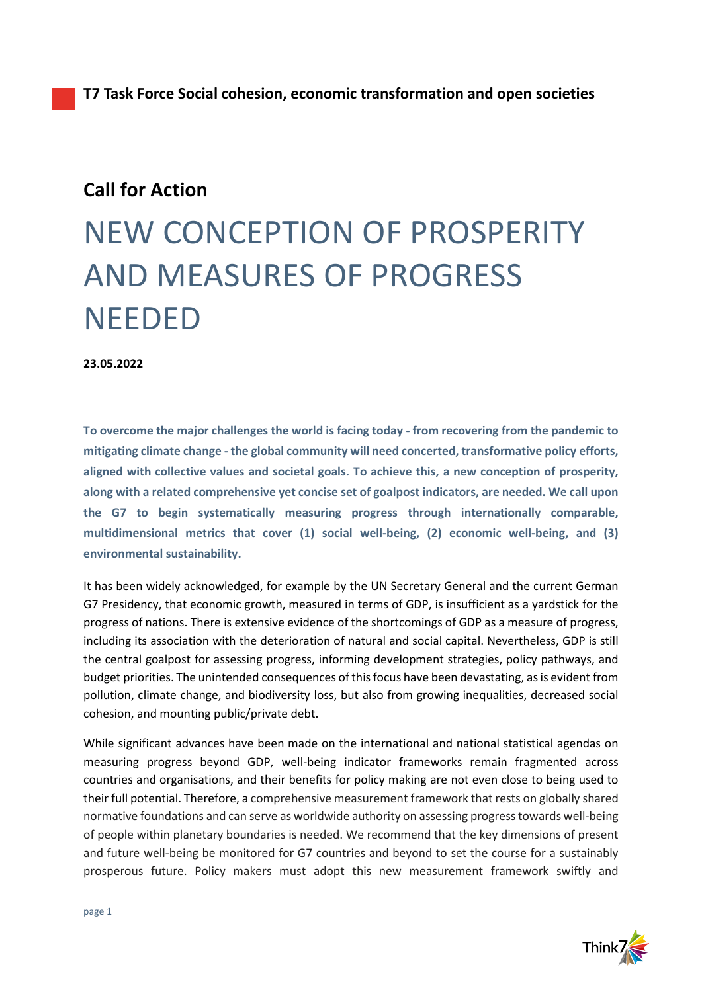## **Call for Action**

## NEW CONCEPTION OF PROSPERITY AND MEASURES OF PROGRESS NEEDED

**23.05.2022**

**To overcome the major challenges the world is facing today - from recovering from the pandemic to mitigating climate change - the global community will need concerted, transformative policy efforts, aligned with collective values and societal goals. To achieve this, a new conception of prosperity, along with a related comprehensive yet concise set of goalpost indicators, are needed. We call upon the G7 to begin systematically measuring progress through internationally comparable, multidimensional metrics that cover (1) social well-being, (2) economic well-being, and (3) environmental sustainability.**

It has been widely acknowledged, for example by the UN Secretary General and the current German G7 Presidency, that economic growth, measured in terms of GDP, is insufficient as a yardstick for the progress of nations. There is extensive evidence of the shortcomings of GDP as a measure of progress, including its association with the deterioration of natural and social capital. Nevertheless, GDP is still the central goalpost for assessing progress, informing development strategies, policy pathways, and budget priorities. The unintended consequences of this focus have been devastating, as is evident from pollution, climate change, and biodiversity loss, but also from growing inequalities, decreased social cohesion, and mounting public/private debt.

While significant advances have been made on the international and national statistical agendas on measuring progress beyond GDP, well-being indicator frameworks remain fragmented across countries and organisations, and their benefits for policy making are not even close to being used to their full potential. Therefore, a comprehensive measurement framework that rests on globally shared normative foundations and can serve as worldwide authority on assessing progresstowards well-being of people within planetary boundaries is needed. We recommend that the key dimensions of present and future well-being be monitored for G7 countries and beyond to set the course for a sustainably prosperous future. Policy makers must adopt this new measurement framework swiftly and

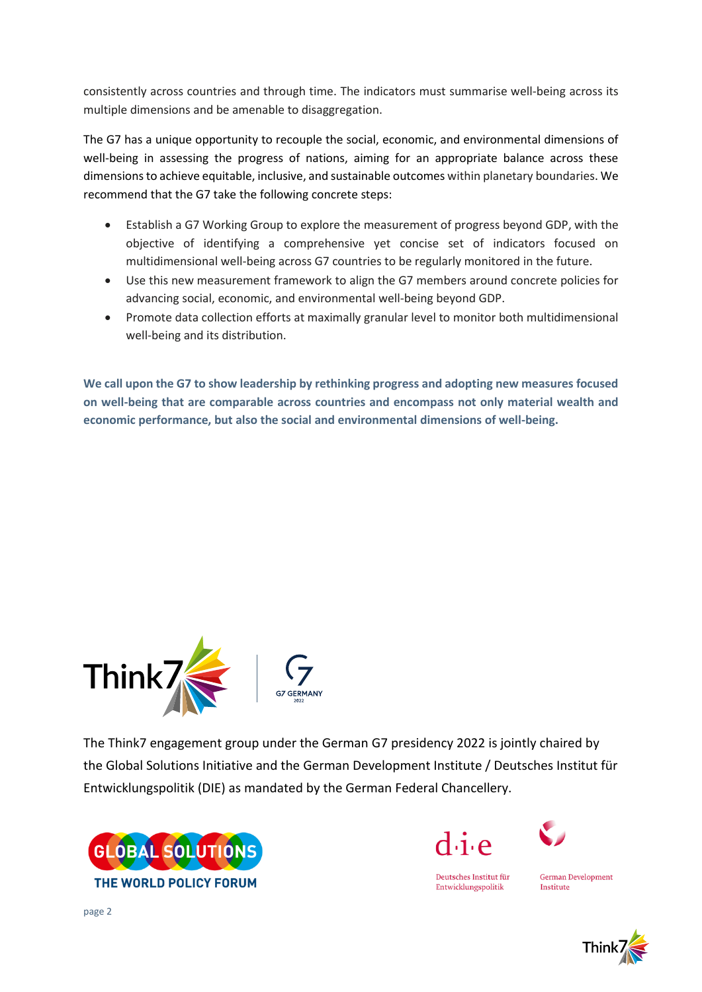consistently across countries and through time. The indicators must summarise well-being across its multiple dimensions and be amenable to disaggregation.

The G7 has a unique opportunity to recouple the social, economic, and environmental dimensions of well-being in assessing the progress of nations, aiming for an appropriate balance across these dimensionsto achieve equitable, inclusive, and sustainable outcomes within planetary boundaries. We recommend that the G7 take the following concrete steps:

- Establish a G7 Working Group to explore the measurement of progress beyond GDP, with the objective of identifying a comprehensive yet concise set of indicators focused on multidimensional well-being across G7 countries to be regularly monitored in the future.
- Use this new measurement framework to align the G7 members around concrete policies for advancing social, economic, and environmental well-being beyond GDP.
- Promote data collection efforts at maximally granular level to monitor both multidimensional well-being and its distribution.

**We call upon the G7 to show leadership by rethinking progress and adopting new measures focused on well-being that are comparable across countries and encompass not only material wealth and economic performance, but also the social and environmental dimensions of well-being.**



The Think7 engagement group under the German G7 presidency 2022 is jointly chaired by the Global Solutions Initiative and the German Development Institute / Deutsches Institut für Entwicklungspolitik (DIE) as mandated by the German Federal Chancellery.







**German Development** Institute